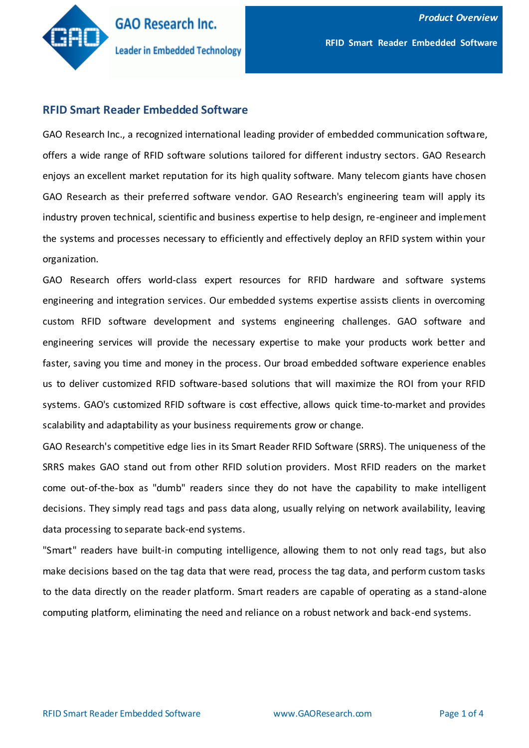

### **RFID Smart Reader Embedded Software**

GAO Research Inc., a recognized international leading provider of embedded communication software, offers a wide range of RFID software solutions tailored for different industry sectors. GAO Research enjoys an excellent market reputation for its high quality software. Many telecom giants have chosen GAO Research as their preferred software vendor. GAO Research's engineering team will apply its industry proven technical, scientific and business expertise to help design, re-engineer and implement the systems and processes necessary to efficiently and effectively deploy an RFID system within your organization.

GAO Research offers world-class expert resources for RFID hardware and software systems engineering and integration services. Our embedded systems expertise assists clients in overcoming custom RFID software development and systems engineering challenges. GAO software and engineering services will provide the necessary expertise to make your products work better and faster, saving you time and money in the process. Our broad embedded software experience enables us to deliver customized RFID software-based solutions that will maximize the ROI from your RFID systems. GAO's customized RFID software is cost effective, allows quick time-to-market and provides scalability and adaptability as your business requirements grow or change.

GAO Research's competitive edge lies in its Smart Reader RFID Software (SRRS). The uniqueness of the SRRS makes GAO stand out from other RFID solution providers. Most RFID readers on the market come out-of-the-box as "dumb" readers since they do not have the capability to make intelligent decisions. They simply read tags and pass data along, usually relying on network availability, leaving data processing to separate back-end systems.

"Smart" readers have built-in computing intelligence, allowing them to not only read tags, but also make decisions based on the tag data that were read, process the tag data, and perform custom tasks to the data directly on the reader platform. Smart readers are capable of operating as a stand-alone computing platform, eliminating the need and reliance on a robust network and back-end systems.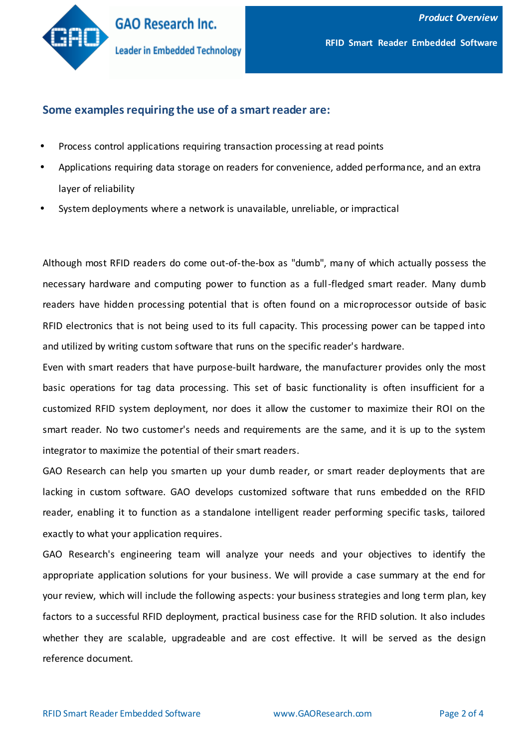

### **Some examples requiring the use of a smart reader are:**

- Process control applications requiring transaction processing at read points
- Applications requiring data storage on readers for convenience, added performance, and an extra layer of reliability
- System deployments where a network is unavailable, unreliable, or impractical

Although most RFID readers do come out-of-the-box as "dumb", many of which actually possess the necessary hardware and computing power to function as a full-fledged smart reader. Many dumb readers have hidden processing potential that is often found on a microprocessor outside of basic RFID electronics that is not being used to its full capacity. This processing power can be tapped into and utilized by writing custom software that runs on the specific reader's hardware.

Even with smart readers that have purpose-built hardware, the manufacturer provides only the most basic operations for tag data processing. This set of basic functionality is often insufficient for a customized RFID system deployment, nor does it allow the customer to maximize their ROI on the smart reader. No two customer's needs and requirements are the same, and it is up to the system integrator to maximize the potential of their smart readers.

GAO Research can help you smarten up your dumb reader, or smart reader deployments that are lacking in custom software. GAO develops customized software that runs embedded on the RFID reader, enabling it to function as a standalone intelligent reader performing specific tasks, tailored exactly to what your application requires.

GAO Research's engineering team will analyze your needs and your objectives to identify the appropriate application solutions for your business. We will provide a case summary at the end for your review, which will include the following aspects: your business strategies and long term plan, key factors to a successful RFID deployment, practical business case for the RFID solution. It also includes whether they are scalable, upgradeable and are cost effective. It will be served as the design reference document.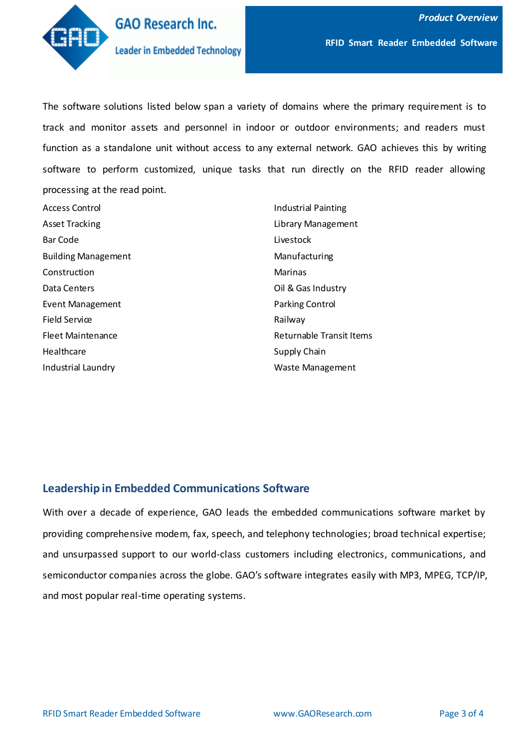

The software solutions listed below span a variety of domains where the primary requirement is to track and monitor assets and personnel in indoor or outdoor environments; and readers must function as a standalone unit without access to any external network. GAO achieves this by writing software to perform customized, unique tasks that run directly on the RFID reader allowing processing at the read point.

| Access Control             |
|----------------------------|
| <b>Asset Tracking</b>      |
| Bar Code                   |
| <b>Building Management</b> |
| Construction               |
| Data Centers               |
| <b>Event Management</b>    |
| Field Service              |
| <b>Fleet Maintenance</b>   |
| <b>Healthcare</b>          |
| Industrial Laundry         |

Industrial Painting Library Management Livestock Manufacturing Marinas Oil & Gas Industry Parking Control Railway Returnable Transit Items Supply Chain Waste Management

## **Leadership in Embedded Communications Software**

With over a decade of experience, GAO leads the embedded communications software market by providing comprehensive modem, fax, speech, and telephony technologies; broad technical expertise; and unsurpassed support to our world-class customers including electronics, communications, and semiconductor companies across the globe. GAO's software integrates easily with MP3, MPEG, TCP/IP, and most popular real-time operating systems.